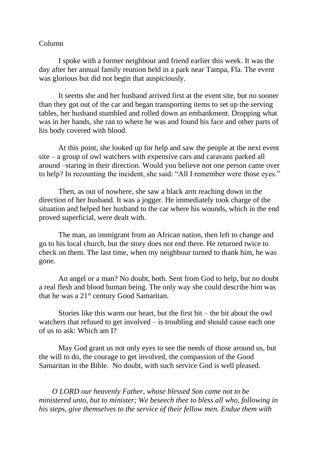## Column

I spoke with a former neighbour and friend earlier this week. It was the day after her annual family reunion held in a park near Tampa, Fla. The event was glorious but did not begin that auspiciously.

It seems she and her husband arrived first at the event site, but no sooner than they got out of the car and began transporting items to set up the serving tables, her husband stumbled and rolled down an embankment. Dropping what was in her hands, she ran to where he was and found his face and other parts of his body covered with blood.

At this point, she looked up for help and saw the people at the next event site – a group of owl watchers with expensive cars and caravans parked all around –staring in their direction. Would you believe not one person came over to help? In recounting the incident, she said: "All I remember were those eyes."

Then, as out of nowhere, she saw a black arm reaching down in the direction of her husband. It was a jogger. He immediately took charge of the situation and helped her husband to the car where his wounds, which in the end proved superficial, were dealt with.

The man, an immigrant from an African nation, then left to change and go to his local church, but the story does not end there. He returned twice to check on them. The last time, when my neighbour turned to thank him, he was gone.

An angel or a man? No doubt, both. Sent from God to help, but no doubt a real flesh and blood human being. The only way she could describe him was that he was a 21<sup>st</sup> century Good Samaritan.

Stories like this warm our heart, but the first bit – the bit about the owl watchers that refused to get involved – is troubling and should cause each one of us to ask: Which am I?

May God grant us not only eyes to see the needs of those around us, but the will to do, the courage to get involved, the compassion of the Good Samaritan in the Bible. No doubt, with such service God is well pleased.

 *O LORD our heavenly Father, whose blessed Son came not to be ministered unto, but to minister; We beseech thee to bless all who, following in his steps, give themselves to the service of their fellow men. Endue them with*